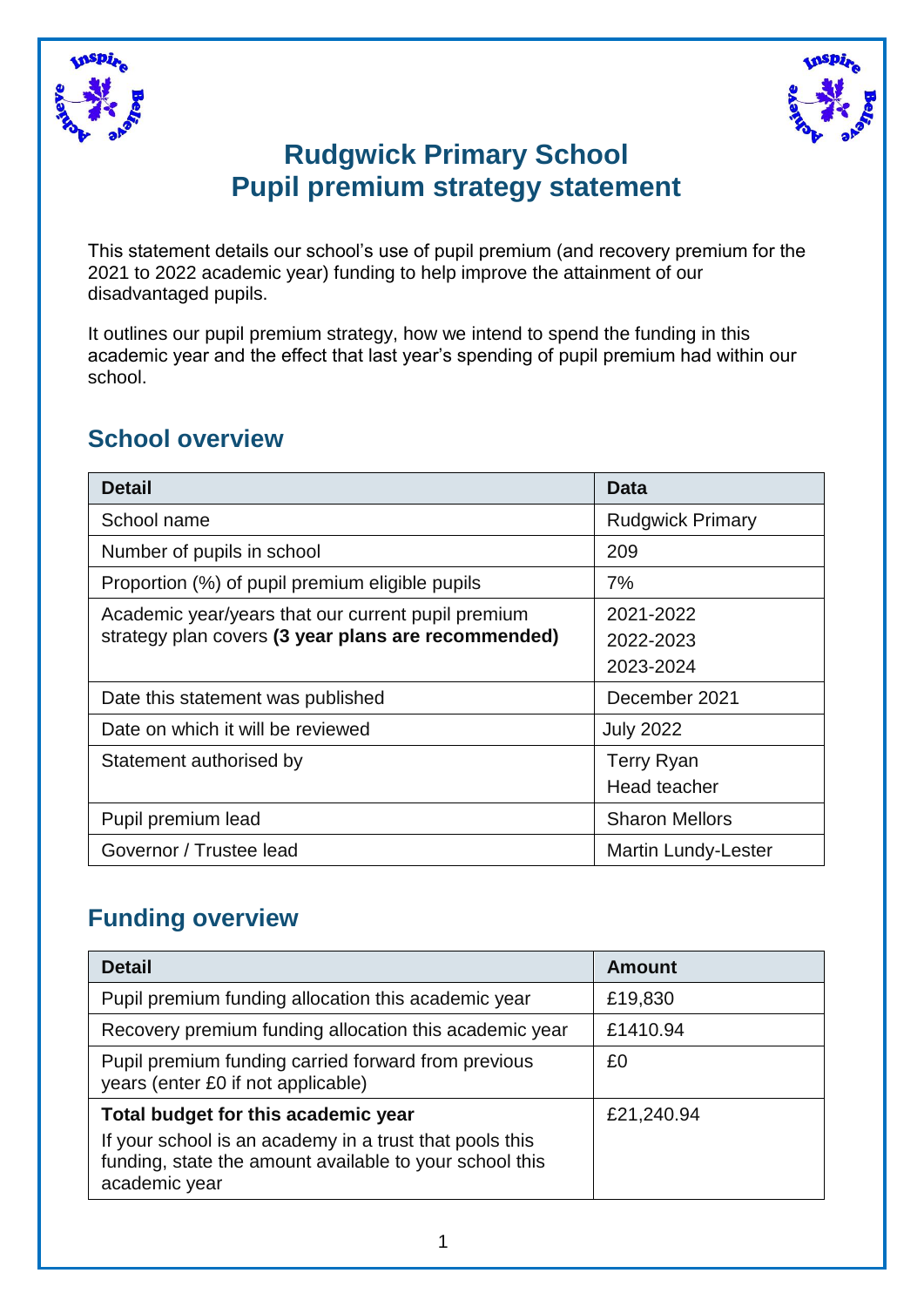



### **Rudgwick Primary School Pupil premium strategy statement**

This statement details our school's use of pupil premium (and recovery premium for the 2021 to 2022 academic year) funding to help improve the attainment of our disadvantaged pupils.

It outlines our pupil premium strategy, how we intend to spend the funding in this academic year and the effect that last year's spending of pupil premium had within our school.

#### **School overview**

| <b>Detail</b>                                       | Data                       |
|-----------------------------------------------------|----------------------------|
| School name                                         | <b>Rudgwick Primary</b>    |
| Number of pupils in school                          | 209                        |
| Proportion (%) of pupil premium eligible pupils     | 7%                         |
| Academic year/years that our current pupil premium  | 2021-2022                  |
| strategy plan covers (3 year plans are recommended) | 2022-2023                  |
|                                                     | 2023-2024                  |
| Date this statement was published                   | December 2021              |
| Date on which it will be reviewed                   | <b>July 2022</b>           |
| Statement authorised by                             | <b>Terry Ryan</b>          |
|                                                     | Head teacher               |
| Pupil premium lead                                  | <b>Sharon Mellors</b>      |
| Governor / Trustee lead                             | <b>Martin Lundy-Lester</b> |

#### **Funding overview**

| <b>Detail</b>                                                                                                                       | <b>Amount</b> |
|-------------------------------------------------------------------------------------------------------------------------------------|---------------|
| Pupil premium funding allocation this academic year                                                                                 | £19,830       |
| Recovery premium funding allocation this academic year                                                                              | £1410.94      |
| Pupil premium funding carried forward from previous<br>years (enter £0 if not applicable)                                           | £0            |
| Total budget for this academic year                                                                                                 | £21,240.94    |
| If your school is an academy in a trust that pools this<br>funding, state the amount available to your school this<br>academic year |               |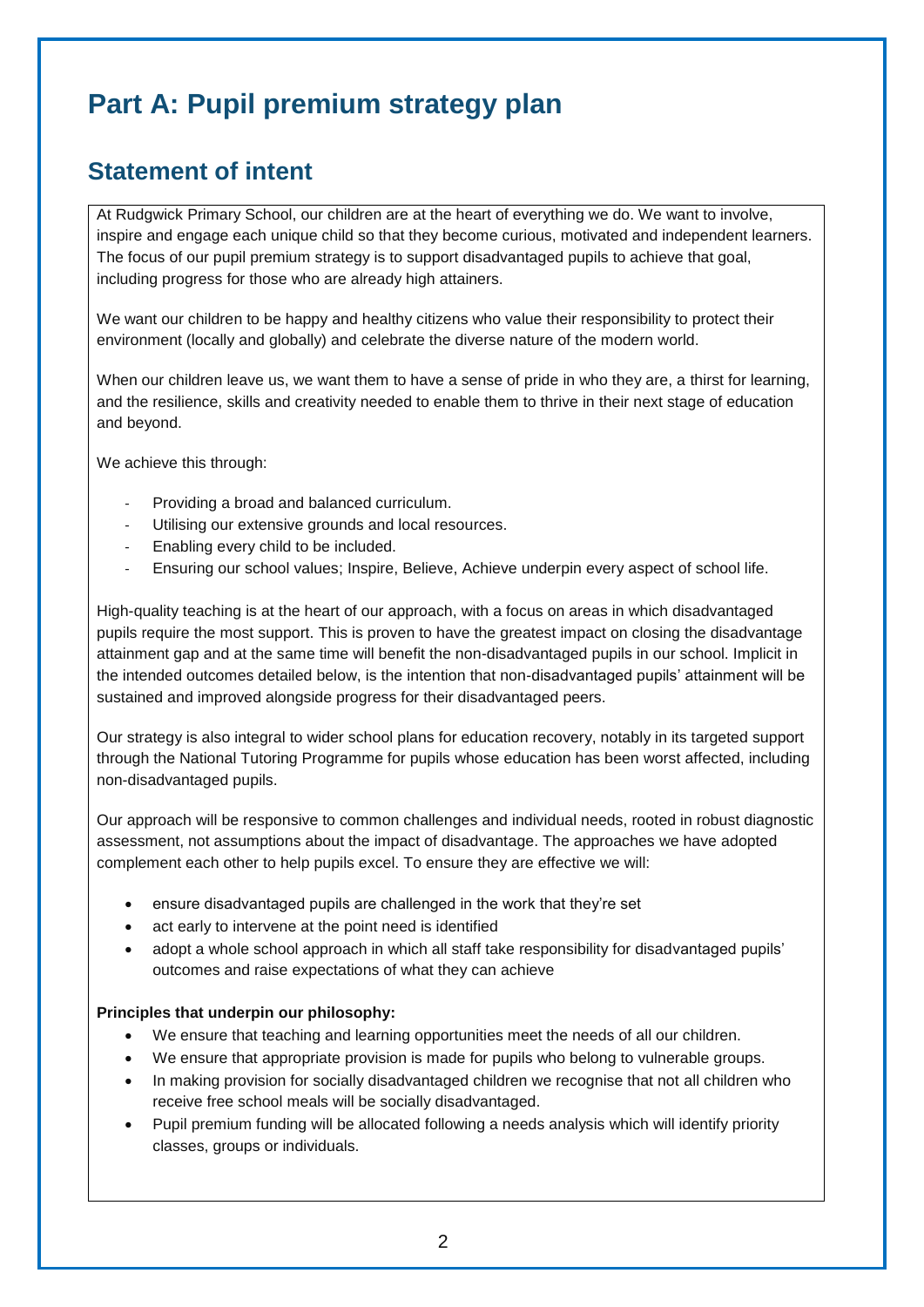## **Part A: Pupil premium strategy plan**

### **Statement of intent**

At Rudgwick Primary School, our children are at the heart of everything we do. We want to involve, inspire and engage each unique child so that they become curious, motivated and independent learners. The focus of our pupil premium strategy is to support disadvantaged pupils to achieve that goal, including progress for those who are already high attainers.

We want our children to be happy and healthy citizens who value their responsibility to protect their environment (locally and globally) and celebrate the diverse nature of the modern world.

When our children leave us, we want them to have a sense of pride in who they are, a thirst for learning, and the resilience, skills and creativity needed to enable them to thrive in their next stage of education and beyond.

We achieve this through:

- Providing a broad and balanced curriculum.
- Utilising our extensive grounds and local resources.
- Enabling every child to be included.
- Ensuring our school values; Inspire, Believe, Achieve underpin every aspect of school life.

High-quality teaching is at the heart of our approach, with a focus on areas in which disadvantaged pupils require the most support. This is proven to have the greatest impact on closing the disadvantage attainment gap and at the same time will benefit the non-disadvantaged pupils in our school. Implicit in the intended outcomes detailed below, is the intention that non-disadvantaged pupils' attainment will be sustained and improved alongside progress for their disadvantaged peers.

Our strategy is also integral to wider school plans for education recovery, notably in its targeted support through the National Tutoring Programme for pupils whose education has been worst affected, including non-disadvantaged pupils.

Our approach will be responsive to common challenges and individual needs, rooted in robust diagnostic assessment, not assumptions about the impact of disadvantage. The approaches we have adopted complement each other to help pupils excel. To ensure they are effective we will:

- ensure disadvantaged pupils are challenged in the work that they're set
- act early to intervene at the point need is identified
- adopt a whole school approach in which all staff take responsibility for disadvantaged pupils' outcomes and raise expectations of what they can achieve

#### **Principles that underpin our philosophy:**

- We ensure that teaching and learning opportunities meet the needs of all our children.
- We ensure that appropriate provision is made for pupils who belong to vulnerable groups.
- In making provision for socially disadvantaged children we recognise that not all children who receive free school meals will be socially disadvantaged.
- Pupil premium funding will be allocated following a needs analysis which will identify priority classes, groups or individuals.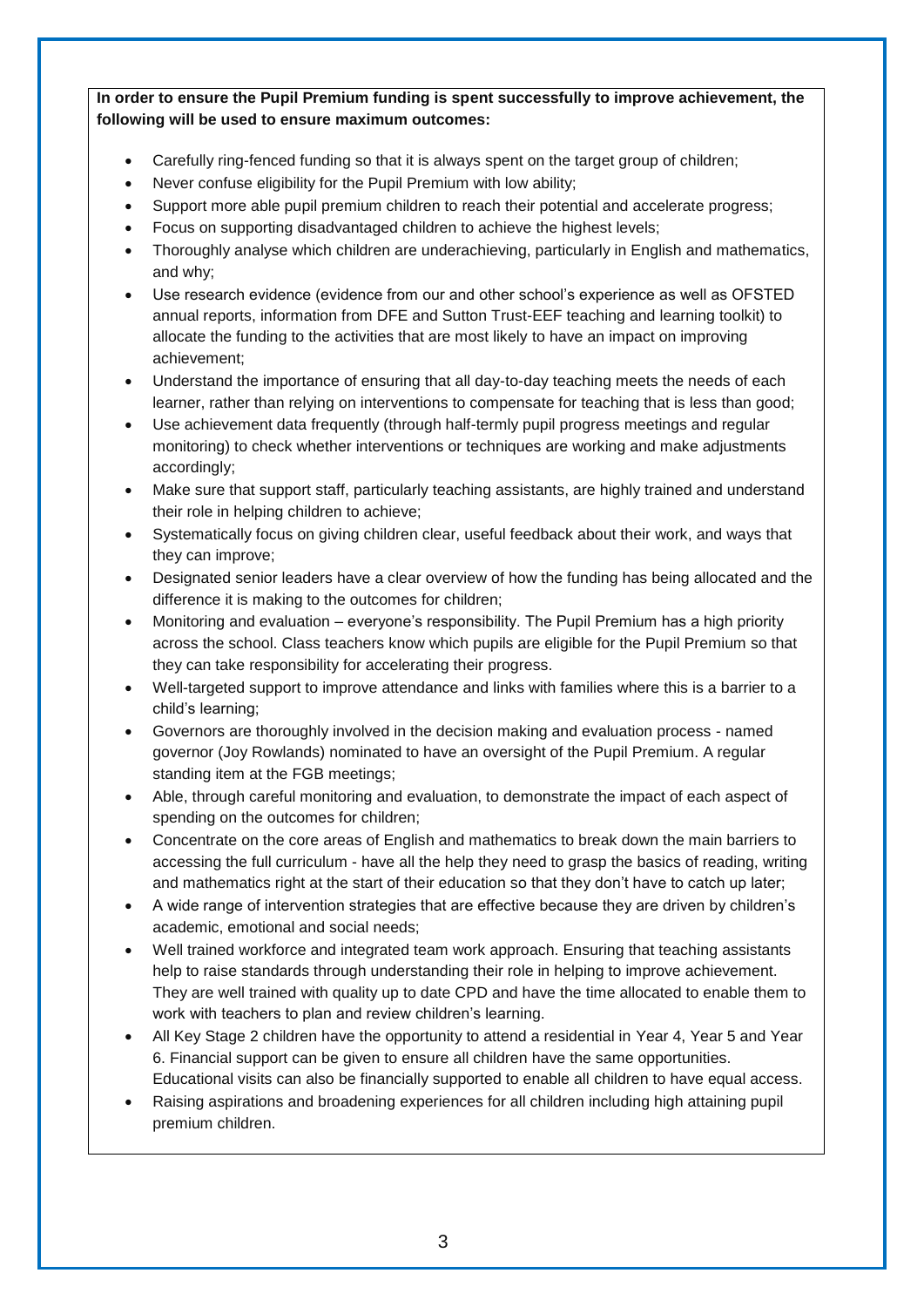**In order to ensure the Pupil Premium funding is spent successfully to improve achievement, the following will be used to ensure maximum outcomes:** 

- Carefully ring-fenced funding so that it is always spent on the target group of children;
- Never confuse eligibility for the Pupil Premium with low ability;
- Support more able pupil premium children to reach their potential and accelerate progress;
- Focus on supporting disadvantaged children to achieve the highest levels;
- Thoroughly analyse which children are underachieving, particularly in English and mathematics, and why;
- Use research evidence (evidence from our and other school's experience as well as OFSTED annual reports, information from DFE and Sutton Trust-EEF teaching and learning toolkit) to allocate the funding to the activities that are most likely to have an impact on improving achievement;
- Understand the importance of ensuring that all day-to-day teaching meets the needs of each learner, rather than relying on interventions to compensate for teaching that is less than good;
- Use achievement data frequently (through half-termly pupil progress meetings and regular monitoring) to check whether interventions or techniques are working and make adjustments accordingly;
- Make sure that support staff, particularly teaching assistants, are highly trained and understand their role in helping children to achieve;
- Systematically focus on giving children clear, useful feedback about their work, and ways that they can improve;
- Designated senior leaders have a clear overview of how the funding has being allocated and the difference it is making to the outcomes for children;
- Monitoring and evaluation everyone's responsibility. The Pupil Premium has a high priority across the school. Class teachers know which pupils are eligible for the Pupil Premium so that they can take responsibility for accelerating their progress.
- Well-targeted support to improve attendance and links with families where this is a barrier to a child's learning;
- Governors are thoroughly involved in the decision making and evaluation process named governor (Joy Rowlands) nominated to have an oversight of the Pupil Premium. A regular standing item at the FGB meetings;
- Able, through careful monitoring and evaluation, to demonstrate the impact of each aspect of spending on the outcomes for children;
- Concentrate on the core areas of English and mathematics to break down the main barriers to accessing the full curriculum - have all the help they need to grasp the basics of reading, writing and mathematics right at the start of their education so that they don't have to catch up later;
- A wide range of intervention strategies that are effective because they are driven by children's academic, emotional and social needs;
- Well trained workforce and integrated team work approach. Ensuring that teaching assistants help to raise standards through understanding their role in helping to improve achievement. They are well trained with quality up to date CPD and have the time allocated to enable them to work with teachers to plan and review children's learning.
- All Key Stage 2 children have the opportunity to attend a residential in Year 4, Year 5 and Year 6. Financial support can be given to ensure all children have the same opportunities. Educational visits can also be financially supported to enable all children to have equal access.
- Raising aspirations and broadening experiences for all children including high attaining pupil premium children.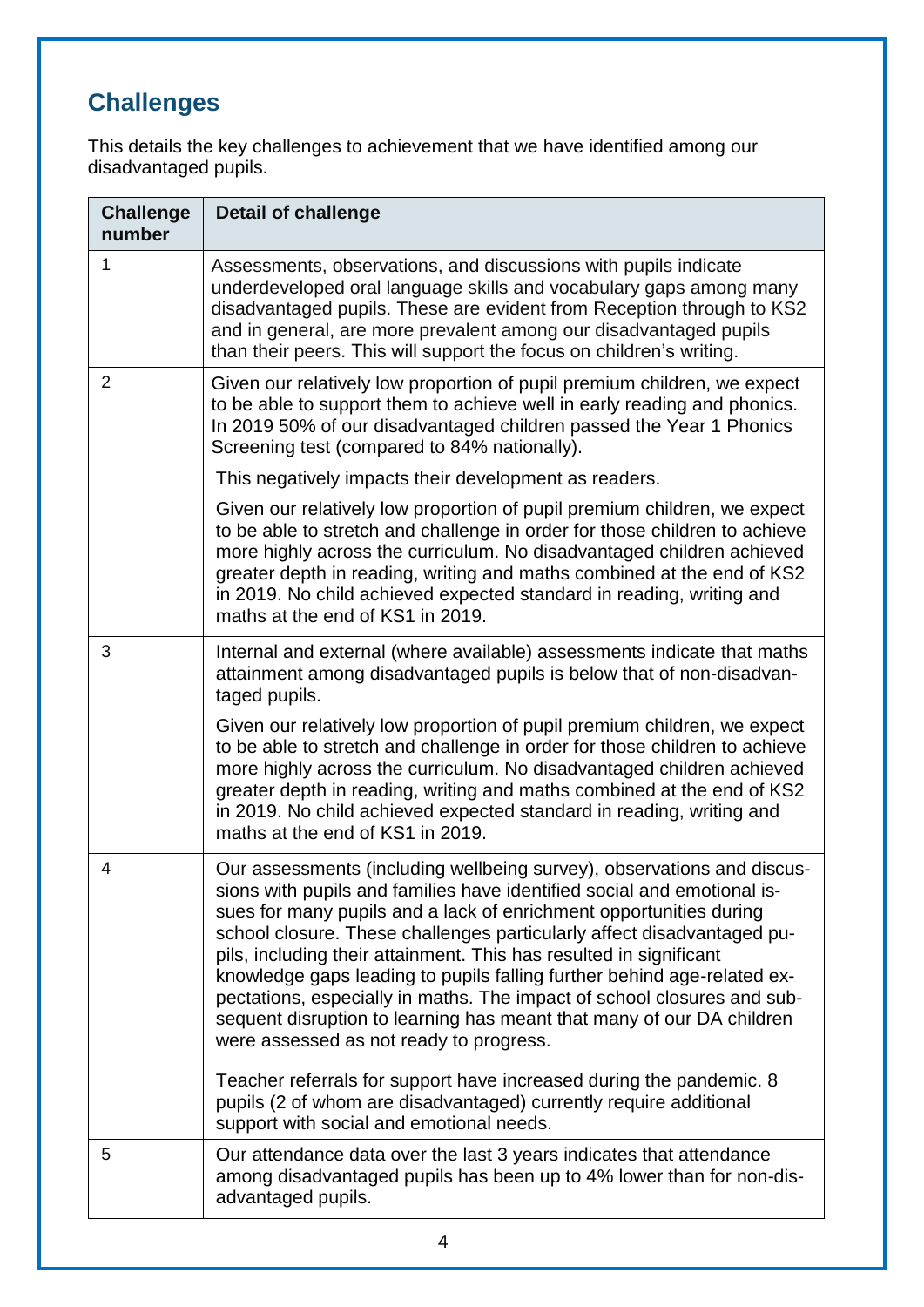# **Challenges**

This details the key challenges to achievement that we have identified among our disadvantaged pupils.

| <b>Challenge</b><br>number | <b>Detail of challenge</b>                                                                                                                                                                                                                                                                                                                                                                                                                                                                                                                                                                                                                                                                                                                                                                    |
|----------------------------|-----------------------------------------------------------------------------------------------------------------------------------------------------------------------------------------------------------------------------------------------------------------------------------------------------------------------------------------------------------------------------------------------------------------------------------------------------------------------------------------------------------------------------------------------------------------------------------------------------------------------------------------------------------------------------------------------------------------------------------------------------------------------------------------------|
| 1                          | Assessments, observations, and discussions with pupils indicate<br>underdeveloped oral language skills and vocabulary gaps among many<br>disadvantaged pupils. These are evident from Reception through to KS2<br>and in general, are more prevalent among our disadvantaged pupils<br>than their peers. This will support the focus on children's writing.                                                                                                                                                                                                                                                                                                                                                                                                                                   |
| $\overline{2}$             | Given our relatively low proportion of pupil premium children, we expect<br>to be able to support them to achieve well in early reading and phonics.<br>In 2019 50% of our disadvantaged children passed the Year 1 Phonics<br>Screening test (compared to 84% nationally).                                                                                                                                                                                                                                                                                                                                                                                                                                                                                                                   |
|                            | This negatively impacts their development as readers.                                                                                                                                                                                                                                                                                                                                                                                                                                                                                                                                                                                                                                                                                                                                         |
|                            | Given our relatively low proportion of pupil premium children, we expect<br>to be able to stretch and challenge in order for those children to achieve<br>more highly across the curriculum. No disadvantaged children achieved<br>greater depth in reading, writing and maths combined at the end of KS2<br>in 2019. No child achieved expected standard in reading, writing and<br>maths at the end of KS1 in 2019.                                                                                                                                                                                                                                                                                                                                                                         |
| 3                          | Internal and external (where available) assessments indicate that maths<br>attainment among disadvantaged pupils is below that of non-disadvan-<br>taged pupils.                                                                                                                                                                                                                                                                                                                                                                                                                                                                                                                                                                                                                              |
|                            | Given our relatively low proportion of pupil premium children, we expect<br>to be able to stretch and challenge in order for those children to achieve<br>more highly across the curriculum. No disadvantaged children achieved<br>greater depth in reading, writing and maths combined at the end of KS2<br>in 2019. No child achieved expected standard in reading, writing and<br>maths at the end of KS1 in 2019.                                                                                                                                                                                                                                                                                                                                                                         |
| 4                          | Our assessments (including wellbeing survey), observations and discus-<br>sions with pupils and families have identified social and emotional is-<br>sues for many pupils and a lack of enrichment opportunities during<br>school closure. These challenges particularly affect disadvantaged pu-<br>pils, including their attainment. This has resulted in significant<br>knowledge gaps leading to pupils falling further behind age-related ex-<br>pectations, especially in maths. The impact of school closures and sub-<br>sequent disruption to learning has meant that many of our DA children<br>were assessed as not ready to progress.<br>Teacher referrals for support have increased during the pandemic. 8<br>pupils (2 of whom are disadvantaged) currently require additional |
|                            | support with social and emotional needs.                                                                                                                                                                                                                                                                                                                                                                                                                                                                                                                                                                                                                                                                                                                                                      |
| 5                          | Our attendance data over the last 3 years indicates that attendance<br>among disadvantaged pupils has been up to 4% lower than for non-dis-<br>advantaged pupils.                                                                                                                                                                                                                                                                                                                                                                                                                                                                                                                                                                                                                             |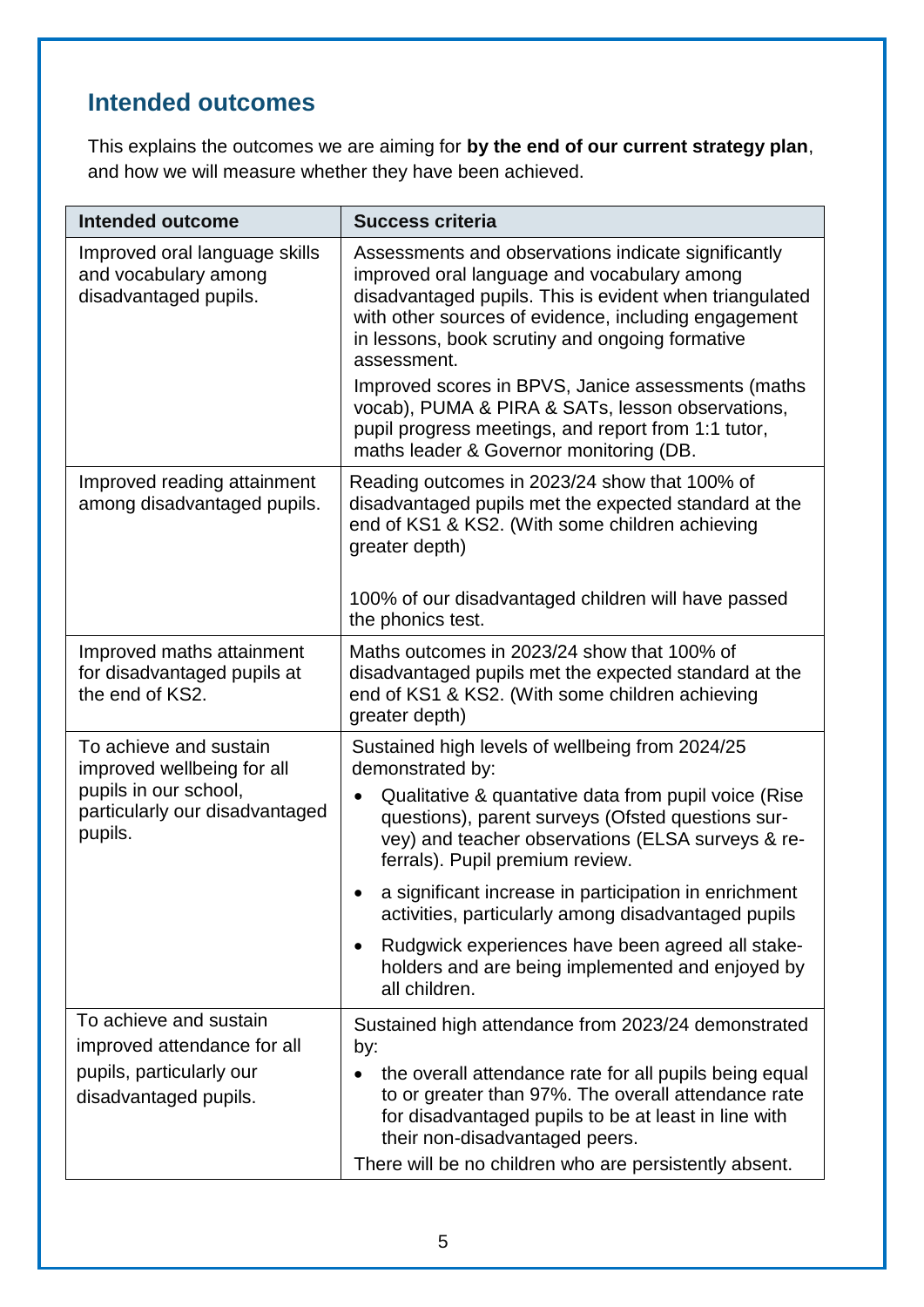### **Intended outcomes**

This explains the outcomes we are aiming for **by the end of our current strategy plan**, and how we will measure whether they have been achieved.

| <b>Intended outcome</b>                                                                                                    | <b>Success criteria</b>                                                                                                                                                                                                                                                                                                                                                                                                                                                                                                        |
|----------------------------------------------------------------------------------------------------------------------------|--------------------------------------------------------------------------------------------------------------------------------------------------------------------------------------------------------------------------------------------------------------------------------------------------------------------------------------------------------------------------------------------------------------------------------------------------------------------------------------------------------------------------------|
| Improved oral language skills<br>and vocabulary among<br>disadvantaged pupils.                                             | Assessments and observations indicate significantly<br>improved oral language and vocabulary among<br>disadvantaged pupils. This is evident when triangulated<br>with other sources of evidence, including engagement<br>in lessons, book scrutiny and ongoing formative<br>assessment.<br>Improved scores in BPVS, Janice assessments (maths<br>vocab), PUMA & PIRA & SATs, lesson observations,<br>pupil progress meetings, and report from 1:1 tutor,<br>maths leader & Governor monitoring (DB.                            |
| Improved reading attainment<br>among disadvantaged pupils.                                                                 | Reading outcomes in 2023/24 show that 100% of<br>disadvantaged pupils met the expected standard at the<br>end of KS1 & KS2. (With some children achieving<br>greater depth)<br>100% of our disadvantaged children will have passed<br>the phonics test.                                                                                                                                                                                                                                                                        |
| Improved maths attainment<br>for disadvantaged pupils at<br>the end of KS2.                                                | Maths outcomes in 2023/24 show that 100% of<br>disadvantaged pupils met the expected standard at the<br>end of KS1 & KS2. (With some children achieving<br>greater depth)                                                                                                                                                                                                                                                                                                                                                      |
| To achieve and sustain<br>improved wellbeing for all<br>pupils in our school,<br>particularly our disadvantaged<br>pupils. | Sustained high levels of wellbeing from 2024/25<br>demonstrated by:<br>Qualitative & quantative data from pupil voice (Rise<br>questions), parent surveys (Ofsted questions sur-<br>vey) and teacher observations (ELSA surveys & re-<br>ferrals). Pupil premium review.<br>a significant increase in participation in enrichment<br>activities, particularly among disadvantaged pupils<br>Rudgwick experiences have been agreed all stake-<br>$\bullet$<br>holders and are being implemented and enjoyed by<br>all children. |
| To achieve and sustain<br>improved attendance for all<br>pupils, particularly our<br>disadvantaged pupils.                 | Sustained high attendance from 2023/24 demonstrated<br>by:<br>the overall attendance rate for all pupils being equal<br>to or greater than 97%. The overall attendance rate<br>for disadvantaged pupils to be at least in line with<br>their non-disadvantaged peers.<br>There will be no children who are persistently absent.                                                                                                                                                                                                |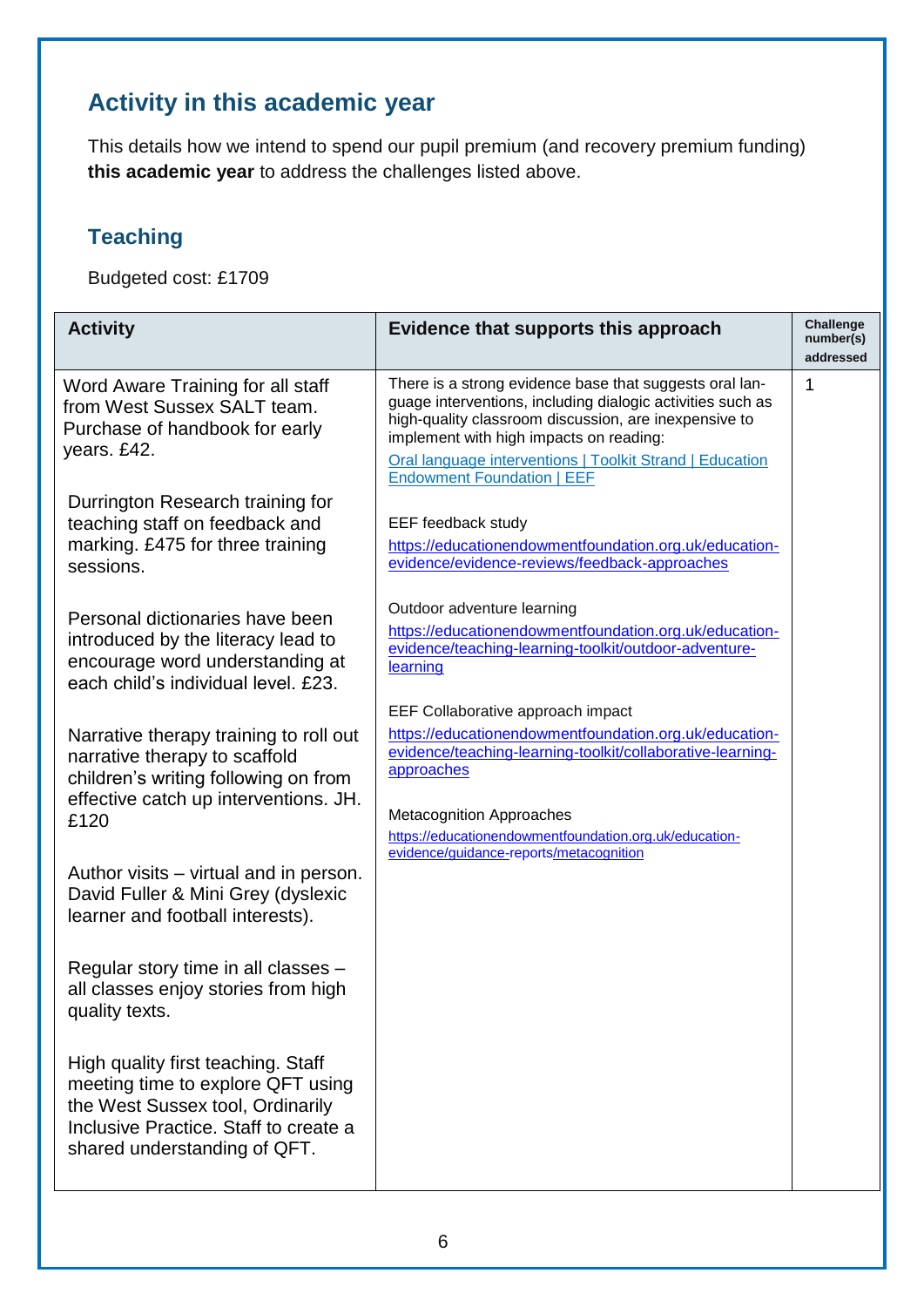### **Activity in this academic year**

This details how we intend to spend our pupil premium (and recovery premium funding) **this academic year** to address the challenges listed above.

### **Teaching**

Budgeted cost: £1709

| <b>Activity</b>                                                                                                                                                                      | Evidence that supports this approach                                                                                                                                                                                                                                                                                       | Challenge<br>number(s)<br>addressed |
|--------------------------------------------------------------------------------------------------------------------------------------------------------------------------------------|----------------------------------------------------------------------------------------------------------------------------------------------------------------------------------------------------------------------------------------------------------------------------------------------------------------------------|-------------------------------------|
| Word Aware Training for all staff<br>from West Sussex SALT team.<br>Purchase of handbook for early<br>years. £42.                                                                    | There is a strong evidence base that suggests oral lan-<br>guage interventions, including dialogic activities such as<br>high-quality classroom discussion, are inexpensive to<br>implement with high impacts on reading:<br>Oral language interventions   Toolkit Strand   Education<br><b>Endowment Foundation   EEF</b> | 1                                   |
| Durrington Research training for<br>teaching staff on feedback and<br>marking. £475 for three training<br>sessions.                                                                  | EEF feedback study<br>https://educationendowmentfoundation.org.uk/education-<br>evidence/evidence-reviews/feedback-approaches                                                                                                                                                                                              |                                     |
| Personal dictionaries have been<br>introduced by the literacy lead to<br>encourage word understanding at<br>each child's individual level. £23.                                      | Outdoor adventure learning<br>https://educationendowmentfoundation.org.uk/education-<br>evidence/teaching-learning-toolkit/outdoor-adventure-<br>learning                                                                                                                                                                  |                                     |
| Narrative therapy training to roll out<br>narrative therapy to scaffold<br>children's writing following on from<br>effective catch up interventions. JH.<br>£120                     | EEF Collaborative approach impact<br>https://educationendowmentfoundation.org.uk/education-<br>evidence/teaching-learning-toolkit/collaborative-learning-<br>approaches<br><b>Metacognition Approaches</b><br>https://educationendowmentfoundation.org.uk/education-<br>evidence/guidance-reports/metacognition            |                                     |
| Author visits – virtual and in person.<br>David Fuller & Mini Grey (dyslexic<br>learner and football interests).                                                                     |                                                                                                                                                                                                                                                                                                                            |                                     |
| Regular story time in all classes -<br>all classes enjoy stories from high<br>quality texts.                                                                                         |                                                                                                                                                                                                                                                                                                                            |                                     |
| High quality first teaching. Staff<br>meeting time to explore QFT using<br>the West Sussex tool, Ordinarily<br>Inclusive Practice. Staff to create a<br>shared understanding of QFT. |                                                                                                                                                                                                                                                                                                                            |                                     |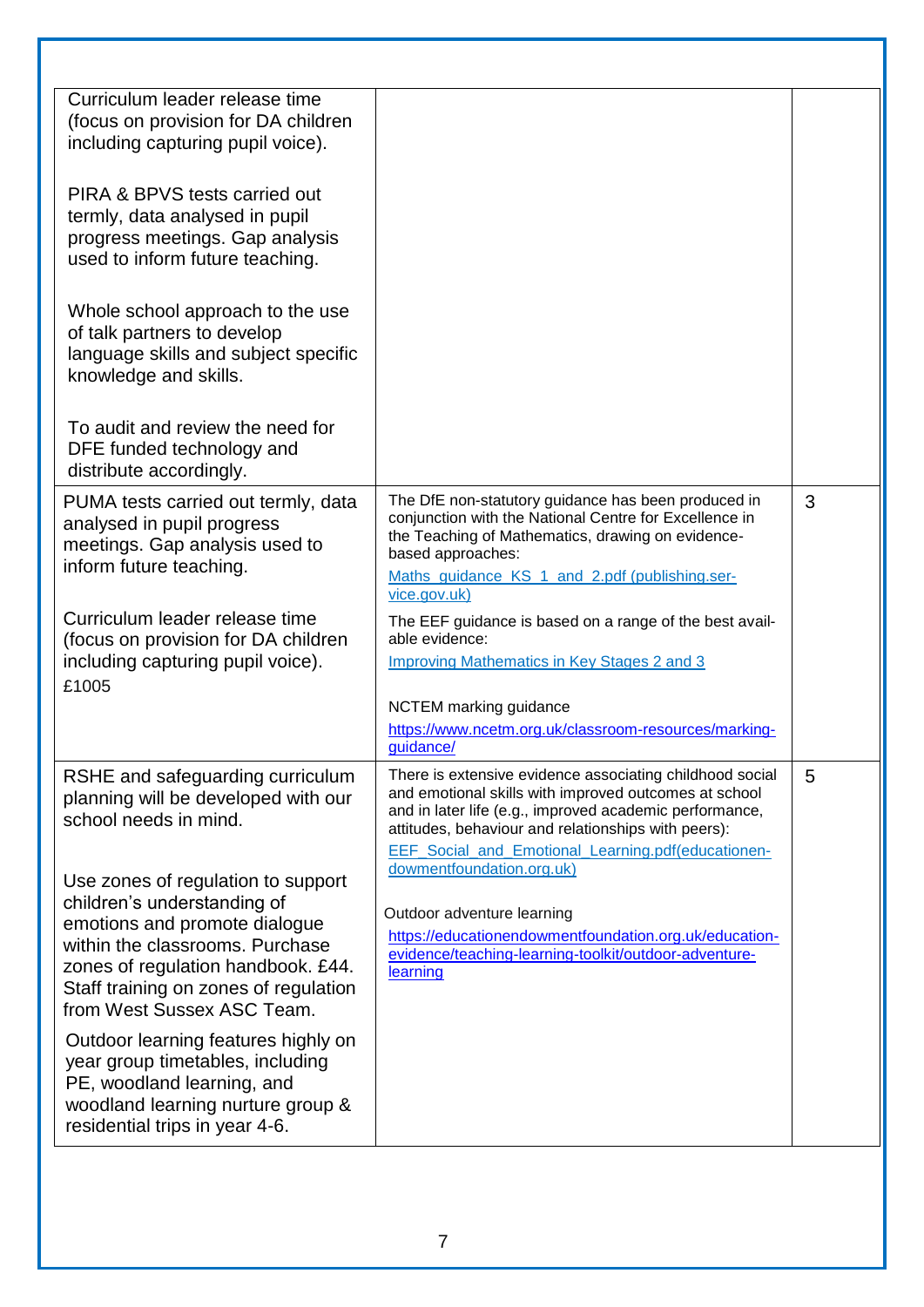| Curriculum leader release time<br>(focus on provision for DA children<br>including capturing pupil voice).                                                                                                                                         |                                                                                                                                                                                                                                                                                                        |   |
|----------------------------------------------------------------------------------------------------------------------------------------------------------------------------------------------------------------------------------------------------|--------------------------------------------------------------------------------------------------------------------------------------------------------------------------------------------------------------------------------------------------------------------------------------------------------|---|
| PIRA & BPVS tests carried out<br>termly, data analysed in pupil<br>progress meetings. Gap analysis<br>used to inform future teaching.                                                                                                              |                                                                                                                                                                                                                                                                                                        |   |
| Whole school approach to the use<br>of talk partners to develop<br>language skills and subject specific<br>knowledge and skills.                                                                                                                   |                                                                                                                                                                                                                                                                                                        |   |
| To audit and review the need for<br>DFE funded technology and<br>distribute accordingly.                                                                                                                                                           |                                                                                                                                                                                                                                                                                                        |   |
| PUMA tests carried out termly, data<br>analysed in pupil progress<br>meetings. Gap analysis used to<br>inform future teaching.                                                                                                                     | The DfE non-statutory guidance has been produced in<br>conjunction with the National Centre for Excellence in<br>the Teaching of Mathematics, drawing on evidence-<br>based approaches:<br>Maths guidance KS 1 and 2.pdf (publishing.ser-<br>vice.gov.uk)                                              | 3 |
| Curriculum leader release time<br>(focus on provision for DA children<br>including capturing pupil voice).<br>£1005                                                                                                                                | The EEF guidance is based on a range of the best avail-<br>able evidence:<br><b>Improving Mathematics in Key Stages 2 and 3</b><br>NCTEM marking guidance<br>https://www.ncetm.org.uk/classroom-resources/marking-                                                                                     |   |
| RSHE and safeguarding curriculum<br>planning will be developed with our<br>school needs in mind.                                                                                                                                                   | quidance/<br>There is extensive evidence associating childhood social<br>and emotional skills with improved outcomes at school<br>and in later life (e.g., improved academic performance,<br>attitudes, behaviour and relationships with peers):<br>EEF_Social_and_Emotional_Learning.pdf(educationen- | 5 |
| Use zones of regulation to support<br>children's understanding of<br>emotions and promote dialogue<br>within the classrooms. Purchase<br>zones of regulation handbook. £44.<br>Staff training on zones of regulation<br>from West Sussex ASC Team. | dowmentfoundation.org.uk)<br>Outdoor adventure learning<br>https://educationendowmentfoundation.org.uk/education-<br>evidence/teaching-learning-toolkit/outdoor-adventure-<br>learning                                                                                                                 |   |
| Outdoor learning features highly on<br>year group timetables, including<br>PE, woodland learning, and<br>woodland learning nurture group &<br>residential trips in year 4-6.                                                                       |                                                                                                                                                                                                                                                                                                        |   |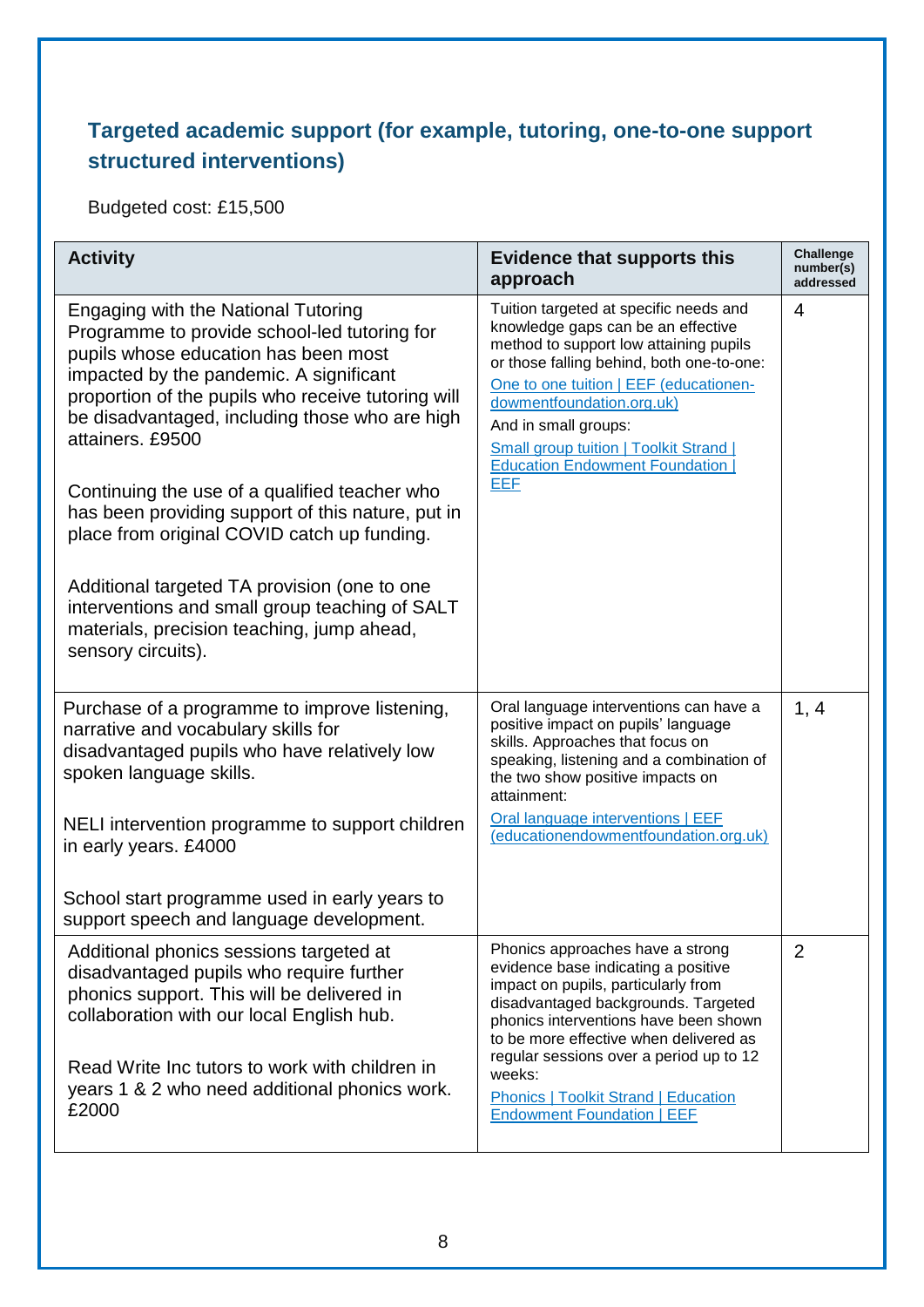#### **Targeted academic support (for example, tutoring, one-to-one support structured interventions)**

Budgeted cost: £15,500

| <b>Activity</b>                                                                                                                                                                                                                                                                                                                                                                                                                                                                                                                                                                                                                      | <b>Evidence that supports this</b><br>approach                                                                                                                                                                                                                                                                                                                                    | <b>Challenge</b><br>number(s)<br>addressed |
|--------------------------------------------------------------------------------------------------------------------------------------------------------------------------------------------------------------------------------------------------------------------------------------------------------------------------------------------------------------------------------------------------------------------------------------------------------------------------------------------------------------------------------------------------------------------------------------------------------------------------------------|-----------------------------------------------------------------------------------------------------------------------------------------------------------------------------------------------------------------------------------------------------------------------------------------------------------------------------------------------------------------------------------|--------------------------------------------|
| <b>Engaging with the National Tutoring</b><br>Programme to provide school-led tutoring for<br>pupils whose education has been most<br>impacted by the pandemic. A significant<br>proportion of the pupils who receive tutoring will<br>be disadvantaged, including those who are high<br>attainers. £9500<br>Continuing the use of a qualified teacher who<br>has been providing support of this nature, put in<br>place from original COVID catch up funding.<br>Additional targeted TA provision (one to one<br>interventions and small group teaching of SALT<br>materials, precision teaching, jump ahead,<br>sensory circuits). | Tuition targeted at specific needs and<br>knowledge gaps can be an effective<br>method to support low attaining pupils<br>or those falling behind, both one-to-one:<br>One to one tuition   EEF (educationen-<br>dowmentfoundation.org.uk)<br>And in small groups:<br><b>Small group tuition   Toolkit Strand  </b><br><b>Education Endowment Foundation  </b><br><b>EEF</b>      | 4                                          |
| Purchase of a programme to improve listening,<br>narrative and vocabulary skills for<br>disadvantaged pupils who have relatively low<br>spoken language skills.<br>NELI intervention programme to support children                                                                                                                                                                                                                                                                                                                                                                                                                   | Oral language interventions can have a<br>positive impact on pupils' language<br>skills. Approaches that focus on<br>speaking, listening and a combination of<br>the two show positive impacts on<br>attainment:<br>Oral language interventions   EEF<br>(educationendowmentfoundation.org.uk)                                                                                    | 1, 4                                       |
| in early years. £4000<br>School start programme used in early years to<br>support speech and language development.                                                                                                                                                                                                                                                                                                                                                                                                                                                                                                                   |                                                                                                                                                                                                                                                                                                                                                                                   |                                            |
| Additional phonics sessions targeted at<br>disadvantaged pupils who require further<br>phonics support. This will be delivered in<br>collaboration with our local English hub.<br>Read Write Inc tutors to work with children in<br>years 1 & 2 who need additional phonics work.<br>£2000                                                                                                                                                                                                                                                                                                                                           | Phonics approaches have a strong<br>evidence base indicating a positive<br>impact on pupils, particularly from<br>disadvantaged backgrounds. Targeted<br>phonics interventions have been shown<br>to be more effective when delivered as<br>regular sessions over a period up to 12<br>weeks:<br><b>Phonics   Toolkit Strand   Education</b><br><b>Endowment Foundation   EEF</b> | 2                                          |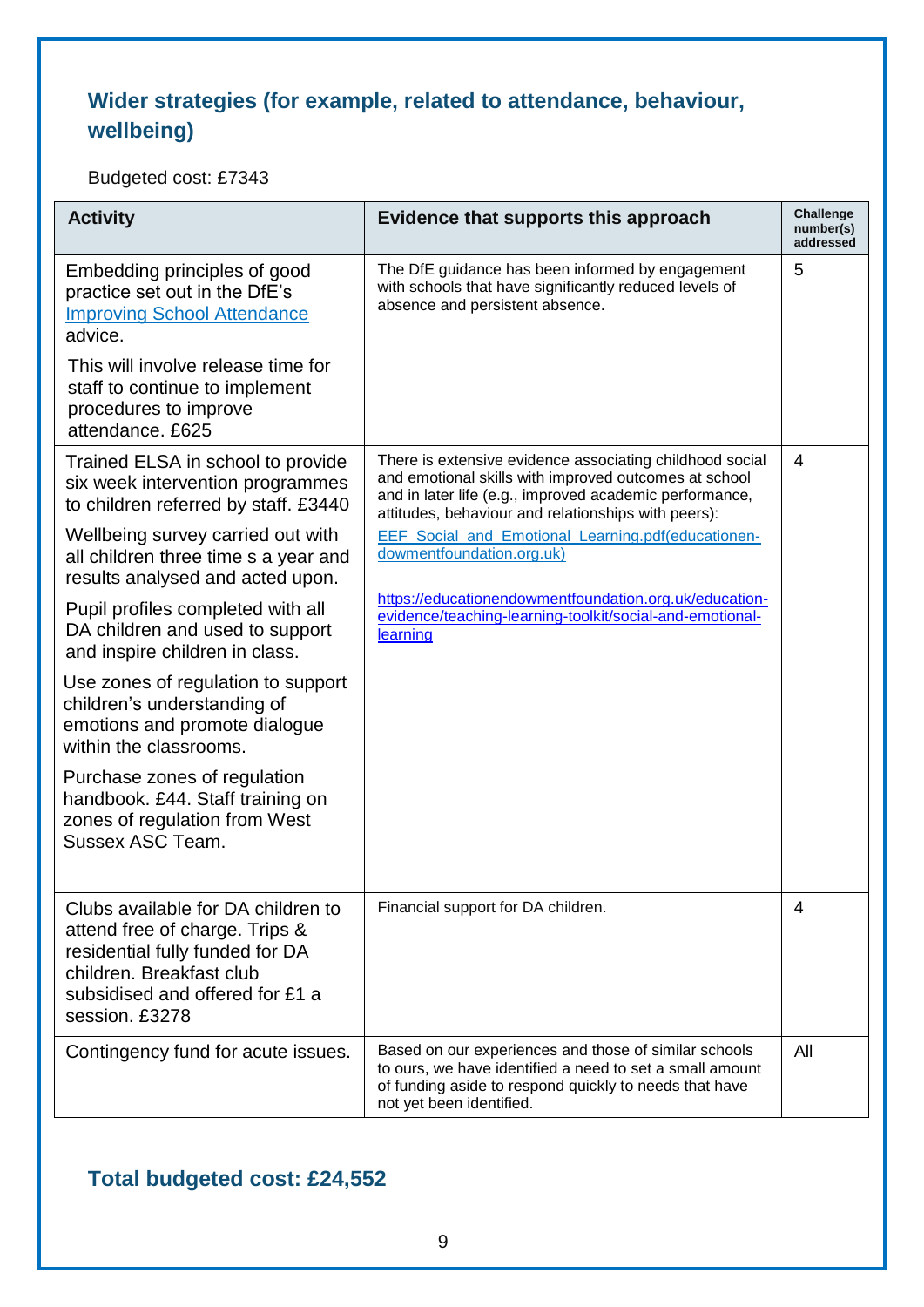### **Wider strategies (for example, related to attendance, behaviour, wellbeing)**

Budgeted cost: £7343

| <b>Activity</b>                                                                                                                                                                          | Evidence that supports this approach                                                                                                                                                                                                | <b>Challenge</b><br>number(s)<br>addressed |
|------------------------------------------------------------------------------------------------------------------------------------------------------------------------------------------|-------------------------------------------------------------------------------------------------------------------------------------------------------------------------------------------------------------------------------------|--------------------------------------------|
| Embedding principles of good<br>practice set out in the DfE's<br><b>Improving School Attendance</b><br>advice.                                                                           | The DfE guidance has been informed by engagement<br>with schools that have significantly reduced levels of<br>absence and persistent absence.                                                                                       | 5                                          |
| This will involve release time for<br>staff to continue to implement<br>procedures to improve<br>attendance. £625                                                                        |                                                                                                                                                                                                                                     |                                            |
| Trained ELSA in school to provide<br>six week intervention programmes<br>to children referred by staff. £3440                                                                            | There is extensive evidence associating childhood social<br>and emotional skills with improved outcomes at school<br>and in later life (e.g., improved academic performance,<br>attitudes, behaviour and relationships with peers): | 4                                          |
| Wellbeing survey carried out with<br>all children three time s a year and<br>results analysed and acted upon.                                                                            | EEF_Social_and_Emotional_Learning.pdf(educationen-<br>dowmentfoundation.org.uk)                                                                                                                                                     |                                            |
| Pupil profiles completed with all<br>DA children and used to support<br>and inspire children in class.                                                                                   | https://educationendowmentfoundation.org.uk/education-<br>evidence/teaching-learning-toolkit/social-and-emotional-<br>learning                                                                                                      |                                            |
| Use zones of regulation to support<br>children's understanding of<br>emotions and promote dialogue<br>within the classrooms.                                                             |                                                                                                                                                                                                                                     |                                            |
| Purchase zones of regulation<br>handbook. £44. Staff training on<br>zones of regulation from West<br>Sussex ASC Team.                                                                    |                                                                                                                                                                                                                                     |                                            |
| Clubs available for DA children to<br>attend free of charge. Trips &<br>residential fully funded for DA<br>children. Breakfast club<br>subsidised and offered for £1 a<br>session. £3278 | Financial support for DA children.                                                                                                                                                                                                  | 4                                          |
| Contingency fund for acute issues.                                                                                                                                                       | Based on our experiences and those of similar schools<br>to ours, we have identified a need to set a small amount<br>of funding aside to respond quickly to needs that have<br>not yet been identified.                             | All                                        |

#### **Total budgeted cost: £24,552**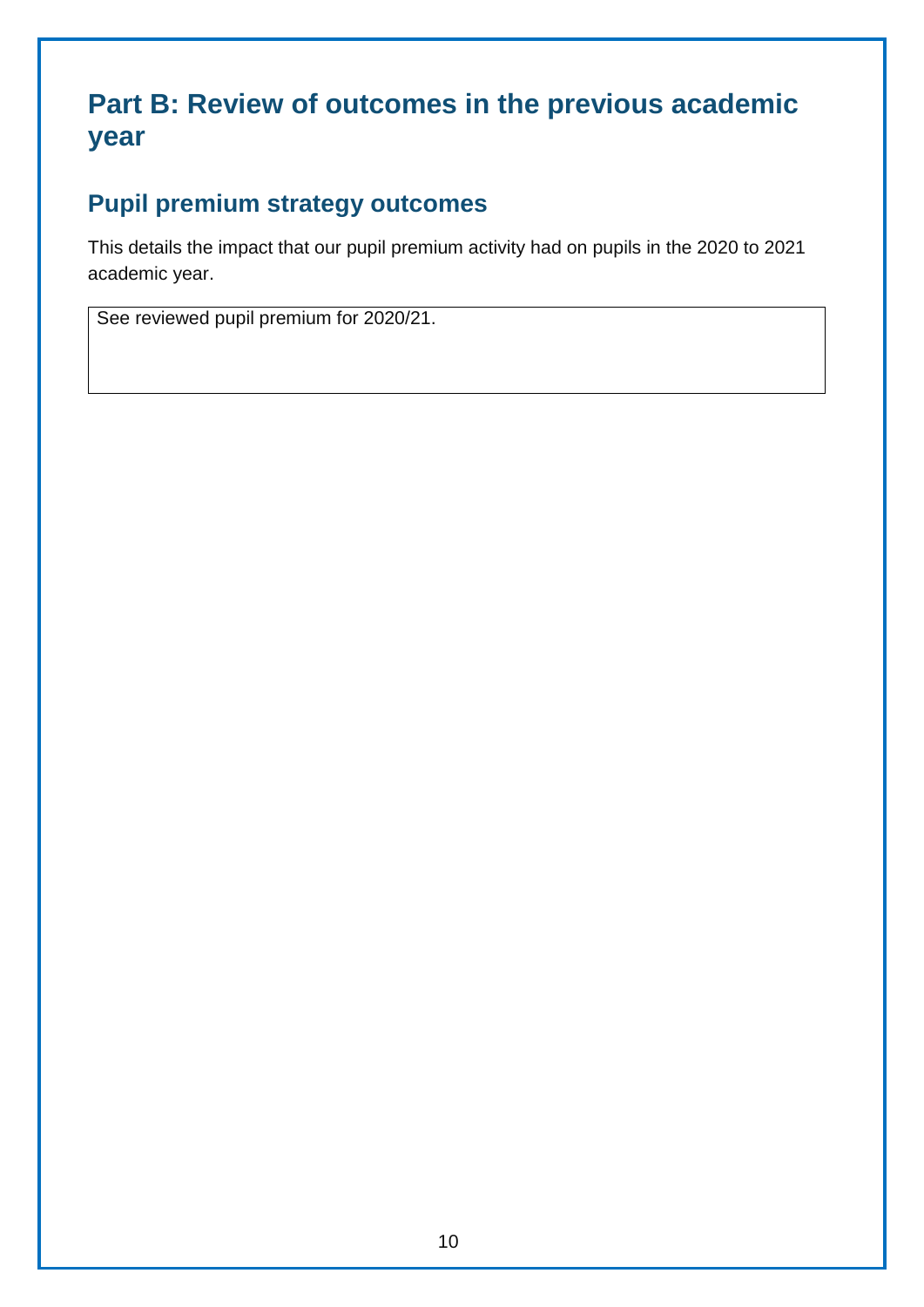### **Part B: Review of outcomes in the previous academic year**

### **Pupil premium strategy outcomes**

This details the impact that our pupil premium activity had on pupils in the 2020 to 2021 academic year.

See reviewed pupil premium for 2020/21.